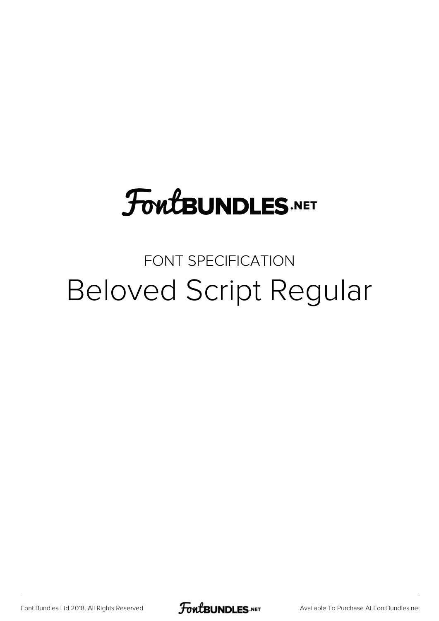## **FoutBUNDLES.NET**

### FONT SPECIFICATION Beloved Script Regular

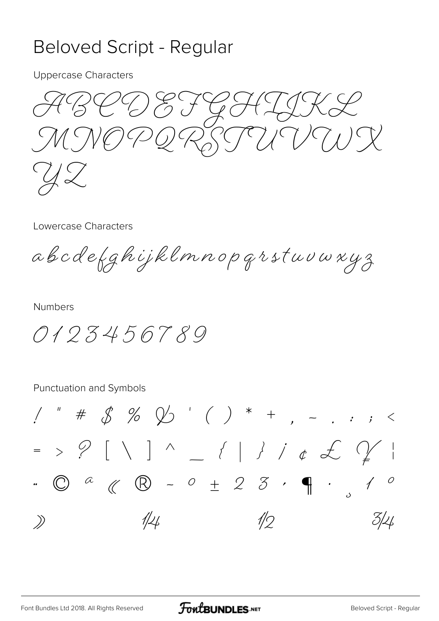#### Beloved Script - Regular

Uppercase Characters

DE) E FGHLIK MNOPQRSTUVWX  $y'$ 

Lowercase Characters

abcdefghijklmnopqrstuvwxyz

Numbers

0123456789

Punctuation and Symbols

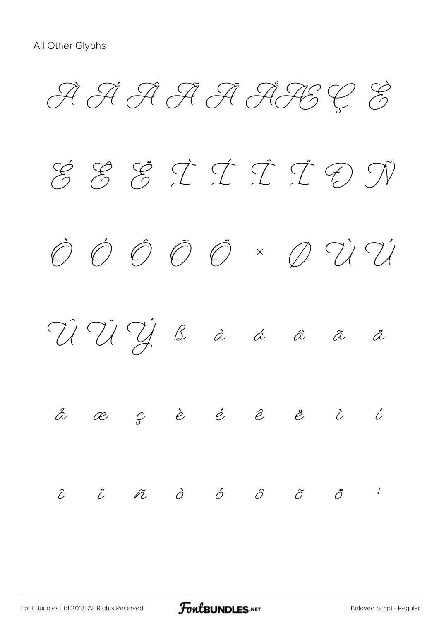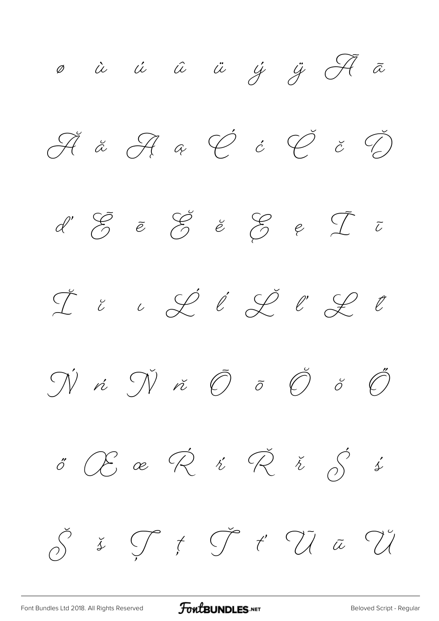ø ù ú û ü ý ÿ Ā ā  $\tilde{\mathcal{A}}$  ă  $\tilde{\mathcal{A}}$  a  $\varphi$  c  $\tilde{\varphi}$  č  $\tilde{\varphi}$ ď Ē ē Ĕ ĕ Ę ę Ī ī Ĭ ĭ ı Ĺ ĺ Ľ ľ Ł ł  $\mathcal N$  ń  $\mathcal N$  ñ  $\mathcal O$  ō  $\mathcal O$  ŏ  $\mathcal O$  $\acute{o}$   $\overrightarrow{C}$   $\alpha$   $\overrightarrow{R}$   $\acute{i}$   $\overrightarrow{R}$   $\overrightarrow{i}$   $\overrightarrow{S}$   $\overrightarrow{i}$ Š š Ţ ţ Ť ť Ū ū Ŭ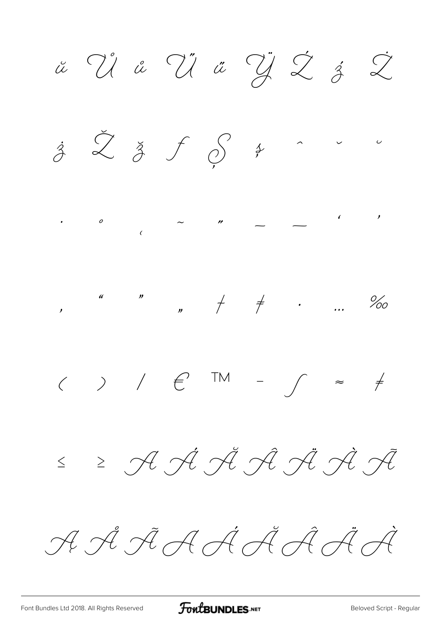ŭ Ů ů Ű ű Ÿ Ź ź Ż  $\ddot{\phi}$   $\ddot{\phi}$   $\ddot{\phi}$   $\ddot{\phi}$   $\ddot{\phi}$   $\ddot{\phi}$   $\ddot{\phi}$ ˙ ˚ ˛ ˜ ˝ – — ' ' ' " " " † ‡ • … ‰ ‹ › ⁄ € ™ − ∫ ≈ ≠ ≤ ≥ A Â Ä Â Ä Ä Ã A Å Ä A Ä Ä Ä Ä Ä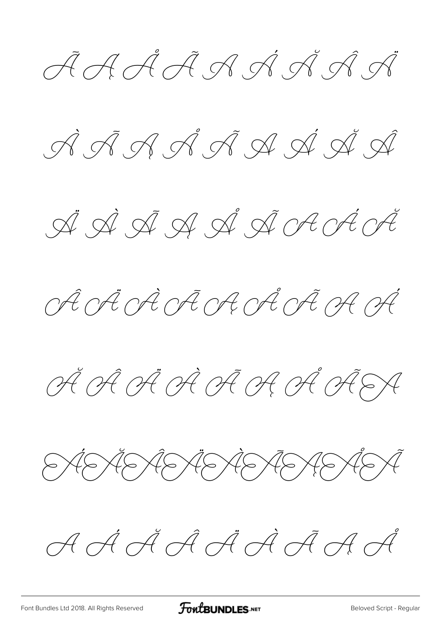AAAARAAAA

A A A A A A A A

 $\overrightarrow{\mathcal{A}}\overrightarrow{\mathcal{A}}\overrightarrow{\mathcal{A}}\overrightarrow{\mathcal{A}}\overrightarrow{\mathcal{A}}\overrightarrow{\mathcal{C}}\overrightarrow{\mathcal{C}}$ 

A A A A A A A A A A

A A A A A A A A AEA

HARASARASARA

AAAAAAAA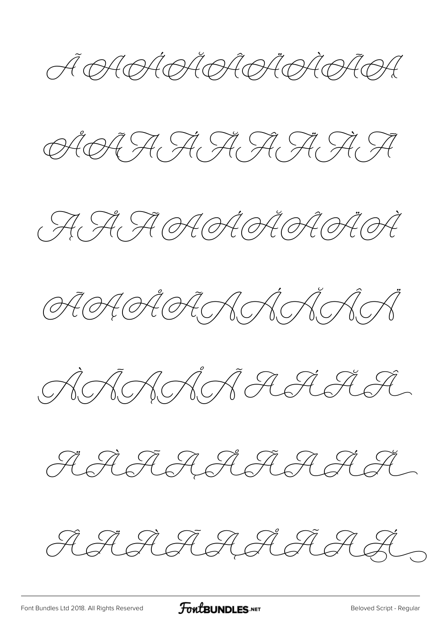A HOAOAOAOAOAOA

ACA A A A A A A







AAAAAAAAA

AAAAAAAAA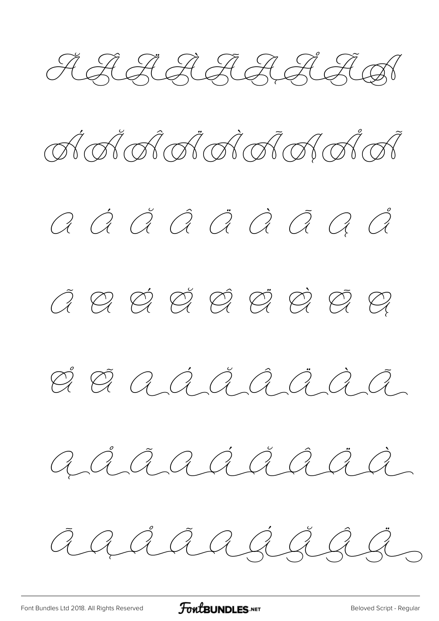ARRARRATES

N N N N N N N N N N

# a á a â a à a a a â à Q Q Q Q Q Q Q Q Q A A a a a a a a a aaaaaaaaa

aaaaaggaa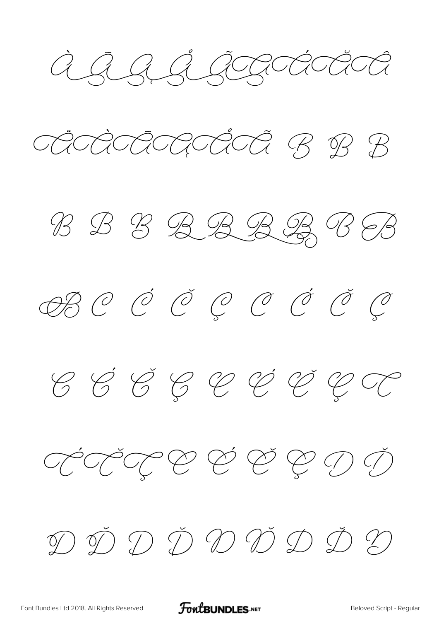a a a a gogododod







## $\mathcal{C} \not\mathcal{C} \not\mathcal{C} \not\mathcal{C} \not\mathcal{C} \not\mathcal{C} \not\mathcal{C} \not\mathcal{C} \not\mathcal{C}$



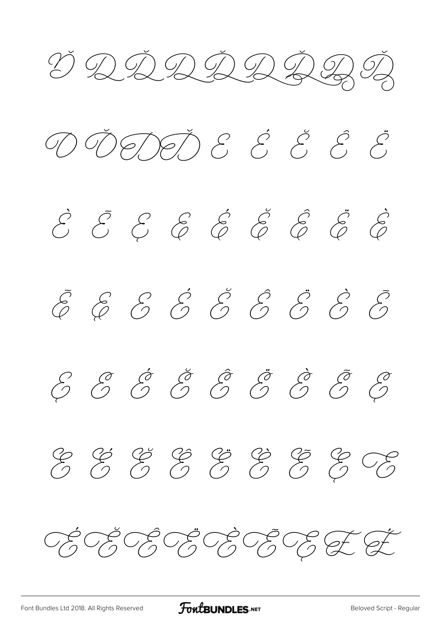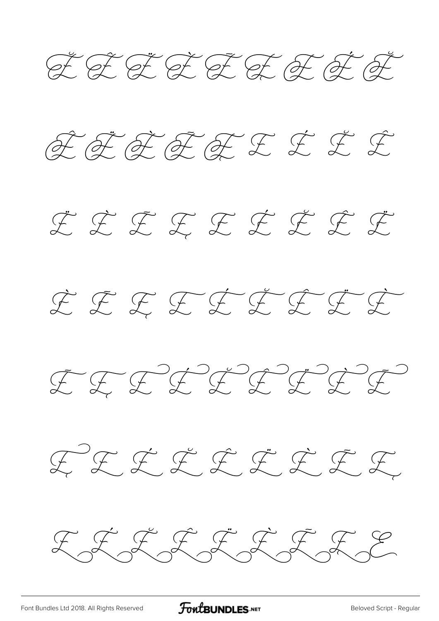



## III TII FIFI







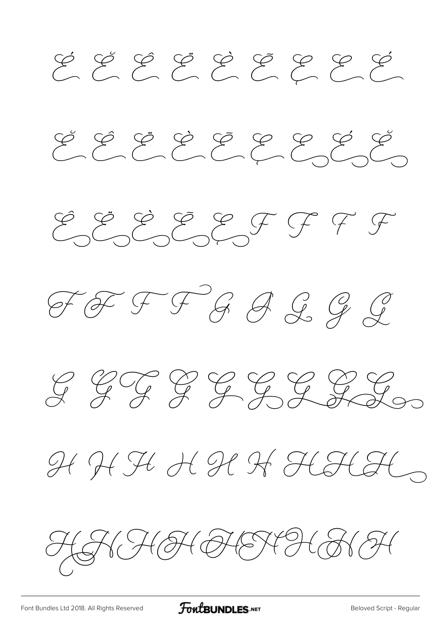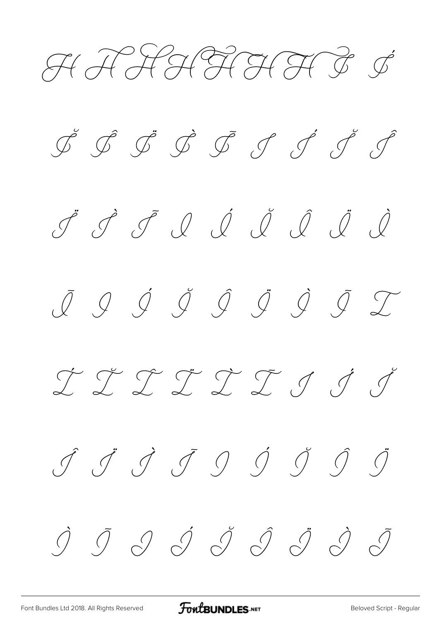

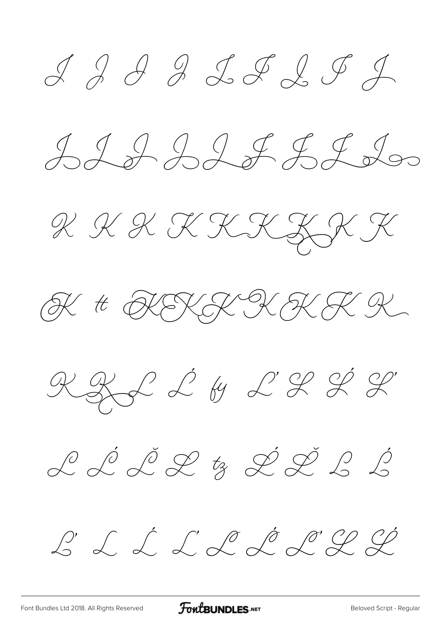$1393282972$  2 X X X X X X X K # KKKKRKK RILL HL'HHL'  $\mathcal{L} \mathcal{L} \mathcal{L} \mathcal{L} \mathcal{L} \mathcal{L} \mathcal{L} \mathcal{L} \mathcal{L} \mathcal{L} \mathcal{L}$  $L' L L' L' L' L' L' L' L' L' L'$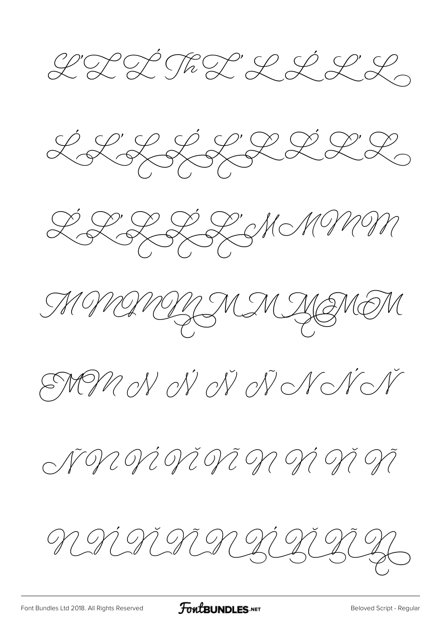L'INFRILLI







SMM ON ON ON ON NONON

N V V V V V V V V V V V

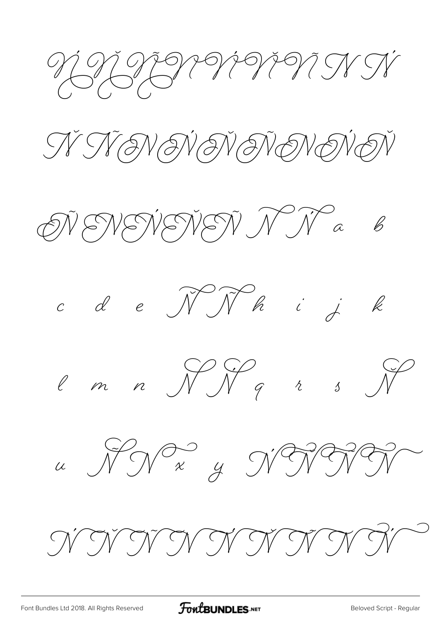N N N PPPV V V N N 'N N N N N N O MENEÑEÑ N N a 6 c d e NN h i j k  $l$  m n  $N$   $N$  q  $\sim$  s  $N$  $u$   $\overline{\mathcal{N}}\mathcal{N}^2$  y  $\overline{\mathcal{N}}\overline{\mathcal{N}}$ N N N N N N N N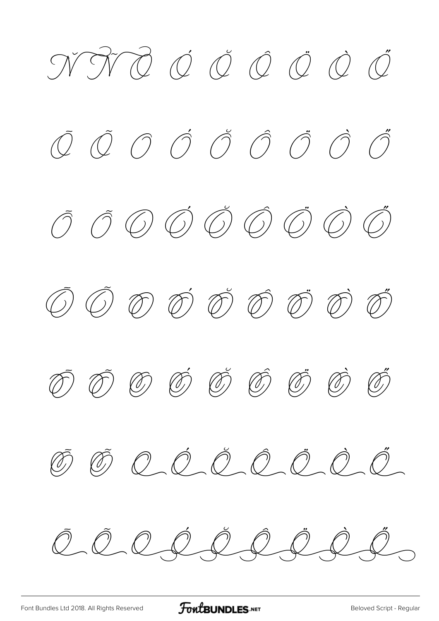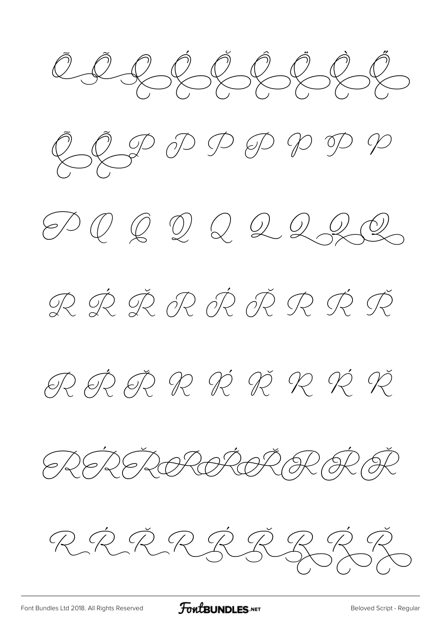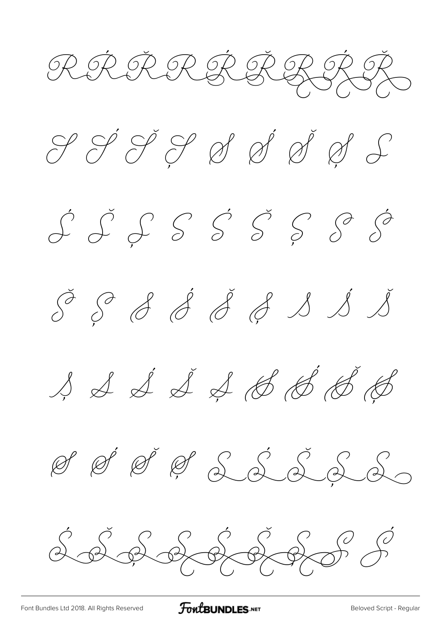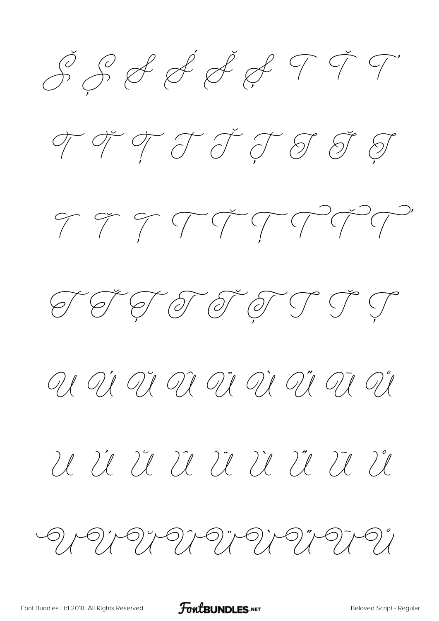$8886688777$ T T T T T T S S J  $\widetilde{\gamma} \widetilde{\gamma} \widetilde{\gamma} \widetilde{\gamma} \widetilde{\gamma} \widetilde{\gamma} \widetilde{\gamma} \widetilde{\gamma} \widetilde{\gamma} \widetilde{\gamma} \widetilde{\gamma}$ TIT T T T T U VÍ VÍ VÍ VÍ VÍ VÍ VÍ VÍ U U U U U U U U U U  $\begin{array}{c} \mathcal{O}(10^{10})\oplus\mathcal{O}(10^{10})\oplus\mathcal{O}(10^{10})\end{array}$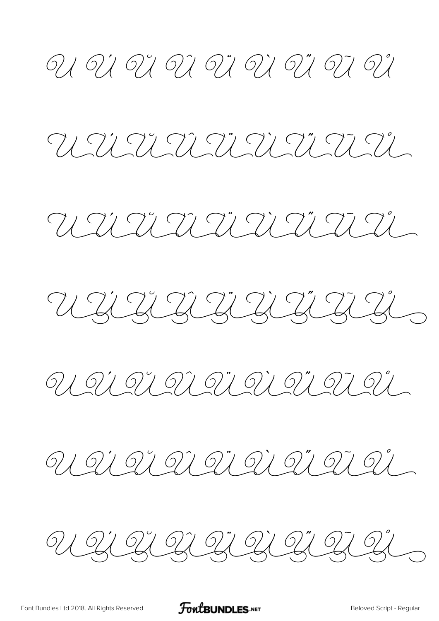91 91 91 91 91 91 91 91 97 91

7171717171717171

71 71 71 71 71 71 71 71 71

UZIZIZIZIZIZIO

91919191919191919

9191919191919191919

Vai di di di di di di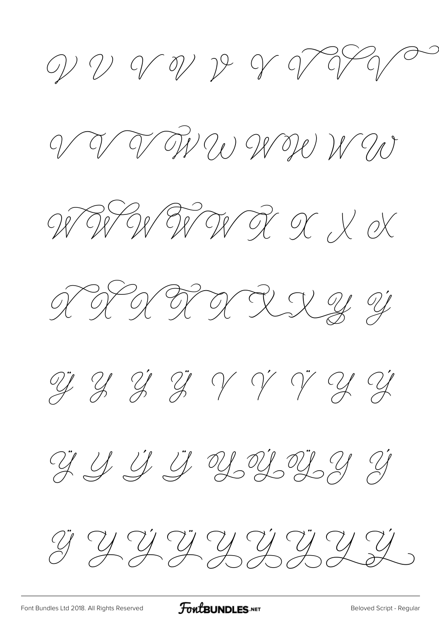$Q \vee Q' \vee Q' \vee Q' \vee Q' \vee Q' \vee Q'$ 

TON W W De W W





J J J J V V V J J



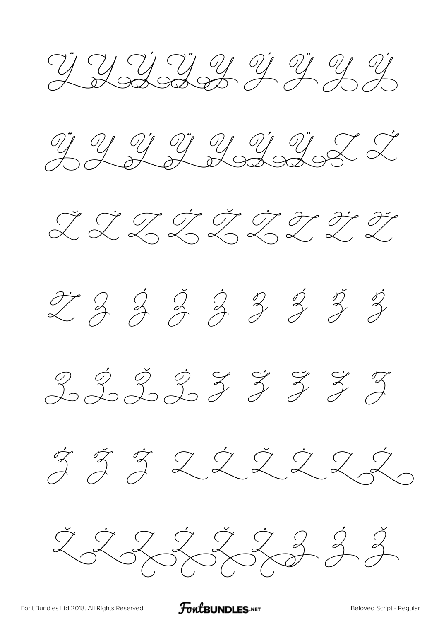J Y Y Y Y Y Y Y Y Y











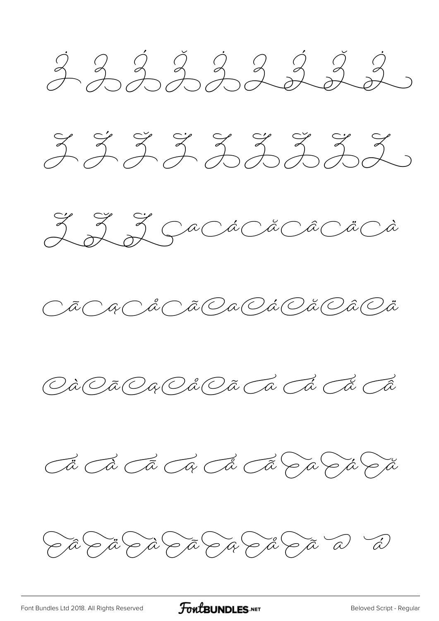333333333











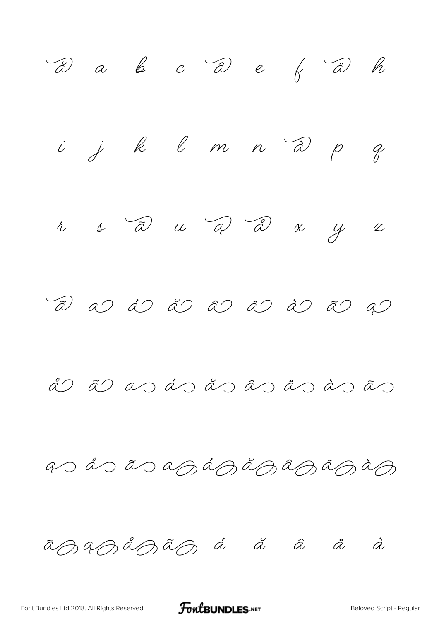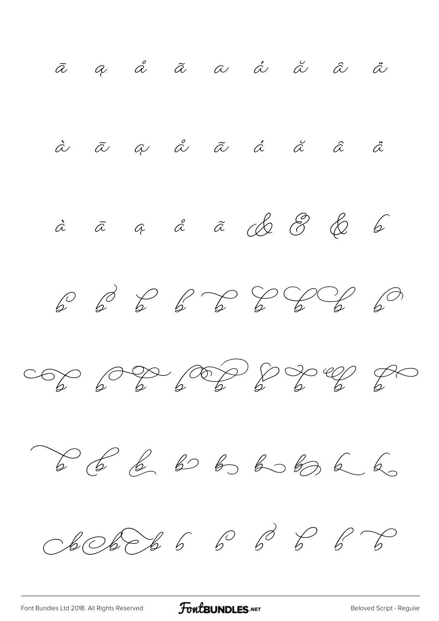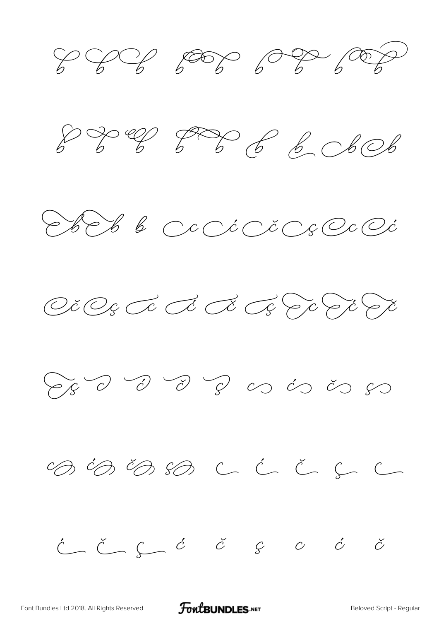









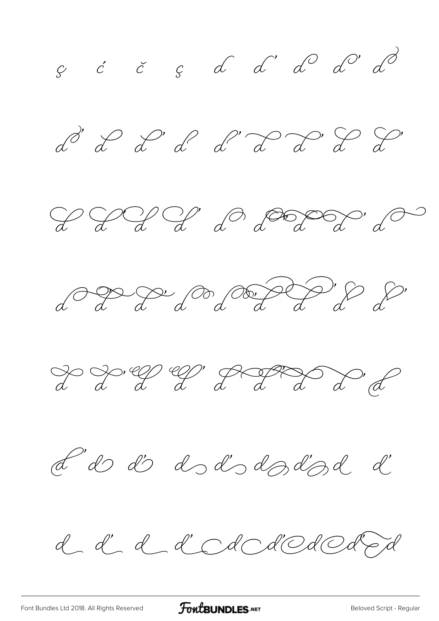$g$   $\acute{c}$   $g$   $\acute{d}$   $d^{\prime}$   $d^{\prime\prime}$   $d^{\prime\prime}$  $d^3d^2d^2d^2d^2d^2d^2d^2$  $\bigotimes_{d} \bigotimes_{d} \bigotimes_{d'} \bigotimes_{d} \bigotimes_{d} \bigotimes_{d} \bigotimes_{d'} \bigotimes_{d'} \bigotimes$ d I I d d d D D D'D d'  $2022$  d a d d d d d d d d'do do do do doublod d' d d'a d'Adacded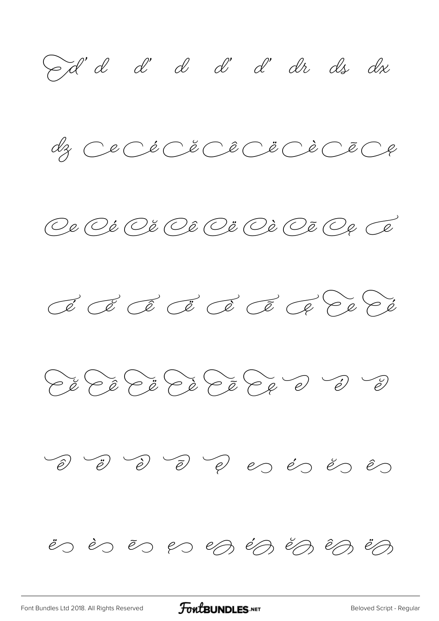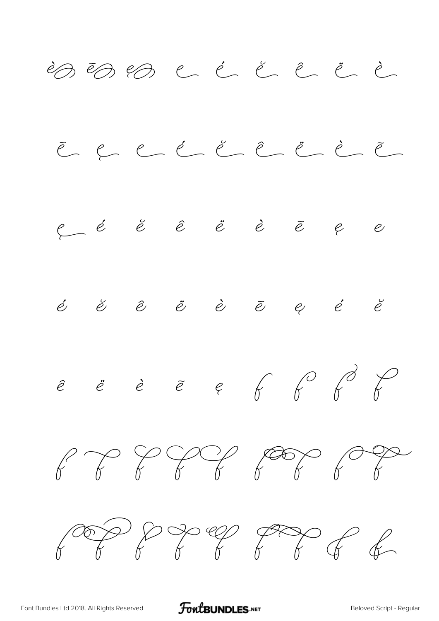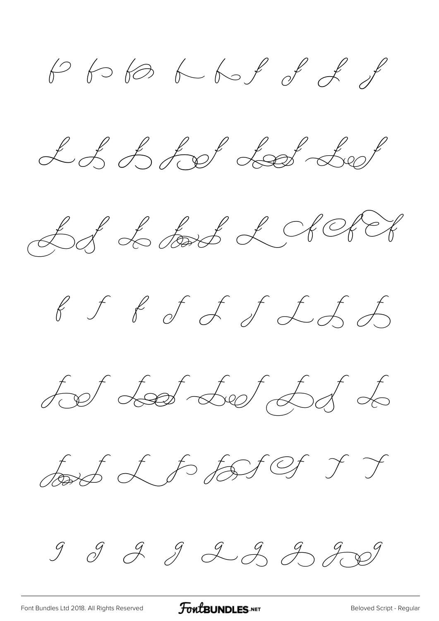P 663 h h f f d f LL SSE Let Los Lost LCCCCC  $\ell f \ell f f f f f$ tot Let Let SS L

toot L to tost of J

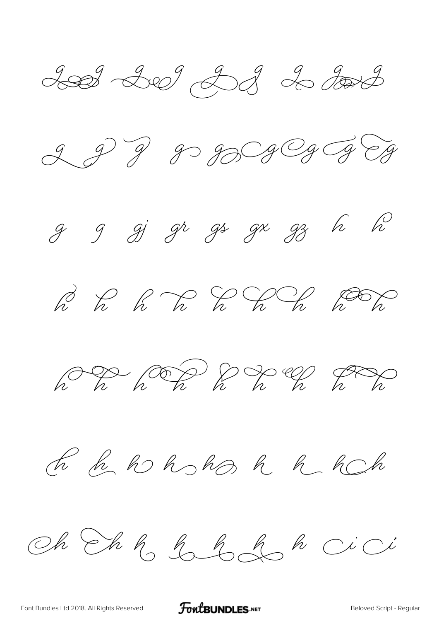2009 DJ 20 20

 $299090909090$ 

g g gj gr gs gx gz h h





h h h h h h h h h

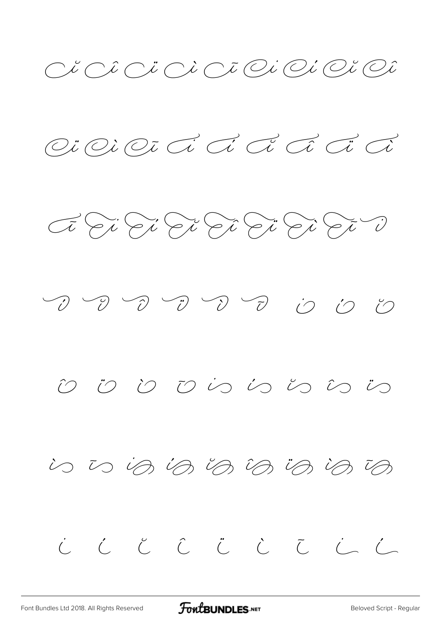







### $0 0 0 0 0 0 0 0 0 0 0$

is is is is is is is is is

CCCCCCCCCC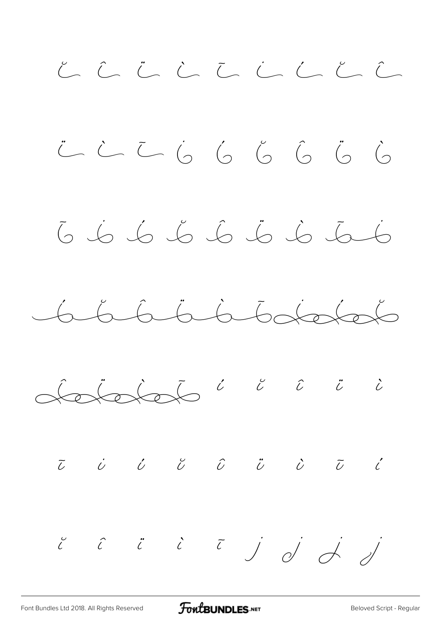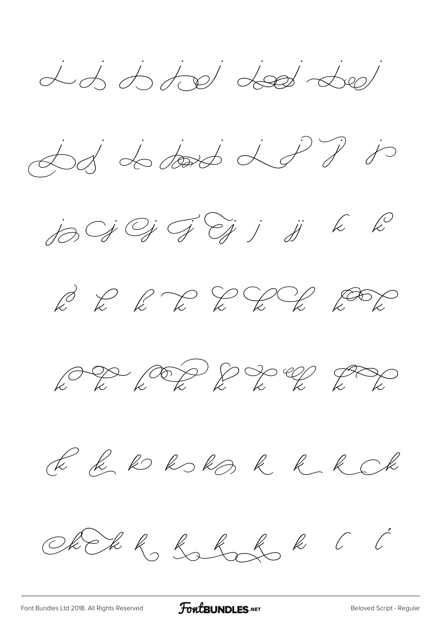$25570$ 

 $\Delta d$  to task  $\Delta P$  to









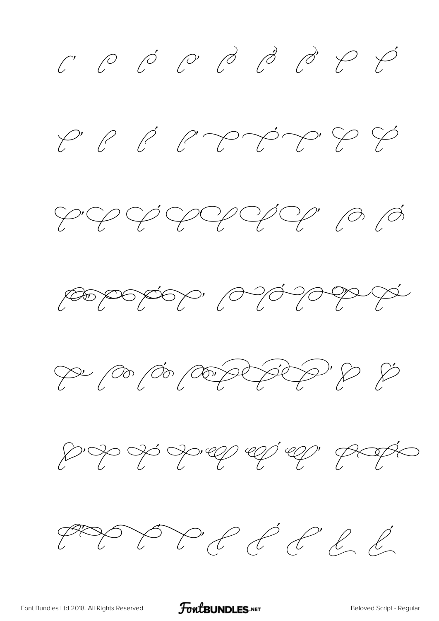C C C C C E C C C L'I l'IVIVE PRPPPPPPP PP  $\chi^2$  (do (do (do PR) P & D'I V SO D'E PETRO PRODUCCCCC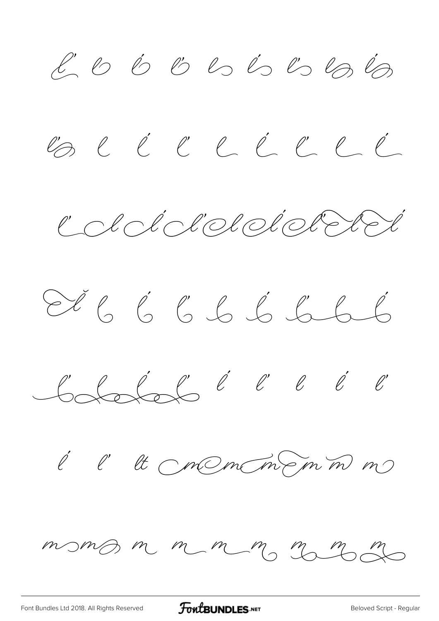$\ell$  0 0 0 0 0 0 0 0 0  $\mathcal{C}_{\geqslant}$   $\ell$   $\ell$   $\ell$   $\ell$   $\ell$   $\ell$ COLOLOLOLOLOL El 6 6 6 6 6 6 6 6 Lodoli l'e l'e l' l' lt conconcern m m moms m m m m m m m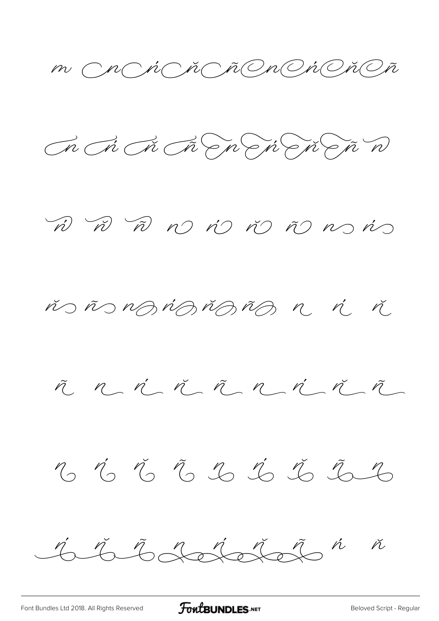







ñ n n n ñ n n n n ñ

2 2 3 2 3 3 3 3 4

G To Lodolodo " "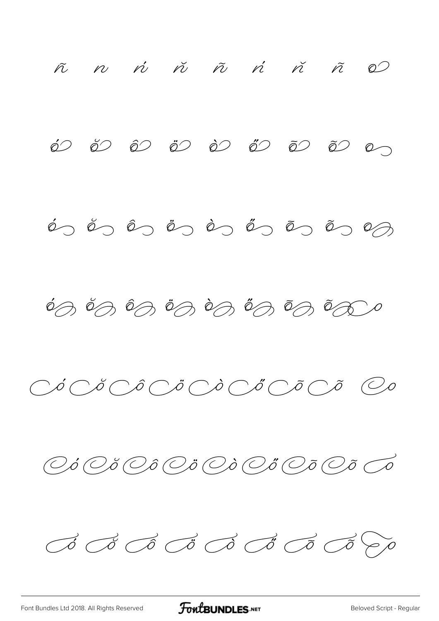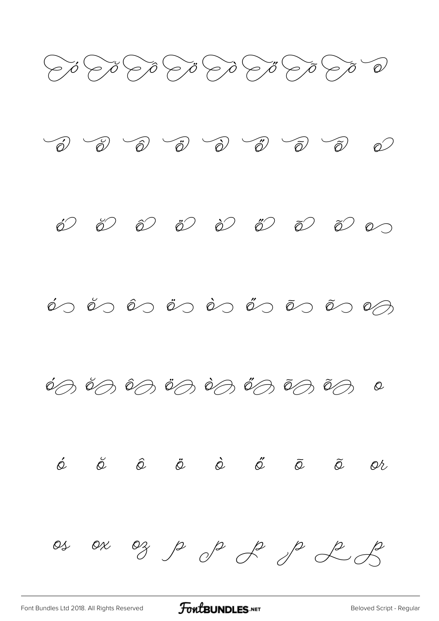

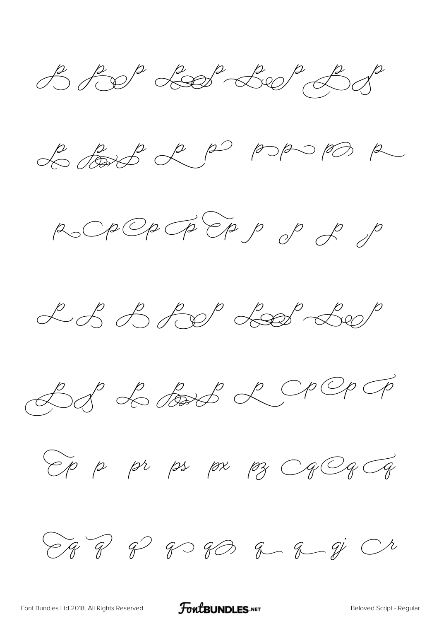$32^2$  for  $32^2$ 

ROPOPTEPP of J

LL SSL LA LA





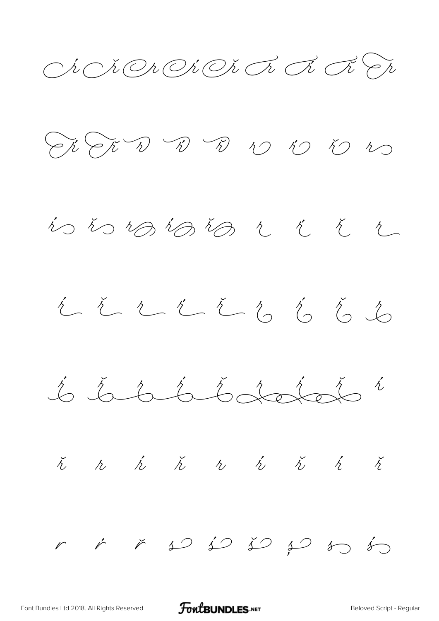SE LE CROROT A A A CR



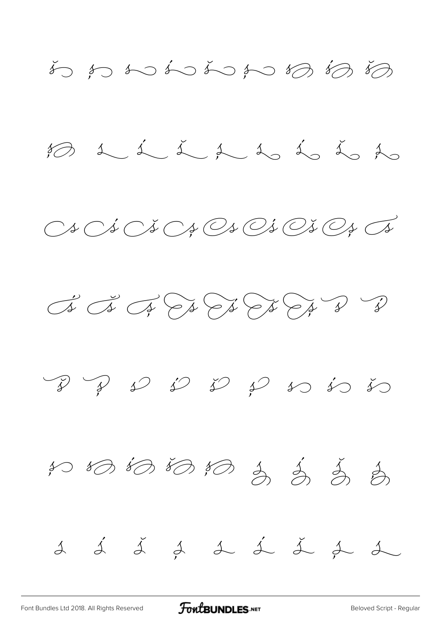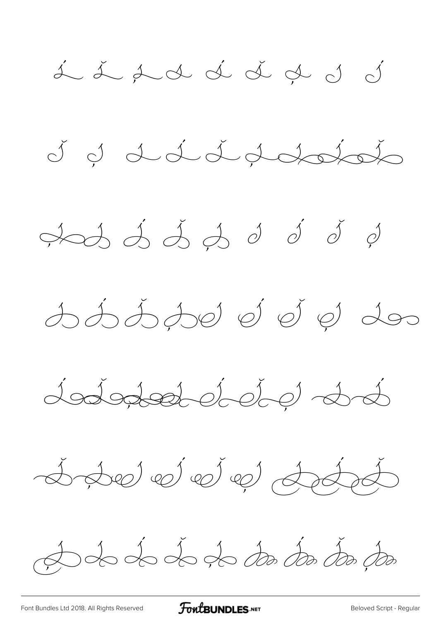J J L L J L Lakel  $\begin{array}{ccc} & \text{if } & \text{if } & \text{if } & \text{if } & \text{if } & \text{if } & \text{if } & \text{if } & \text{if } & \text{if } & \text{if } & \text{if } & \text{if } & \text{if } & \text{if } & \text{if } & \text{if } & \text{if } & \text{if } & \text{if } & \text{if } & \text{if } & \text{if } & \text{if } & \text{if } & \text{if } & \text{if } & \text{if } & \text{if } & \text{if } & \text{if } & \text{if } & \text{if } & \text{if } & \text{if } & \text$  $A\dot{A}\dot{A}\dot{A}$ dododod do dod Labed ed ed es deded Ado do do do da da da da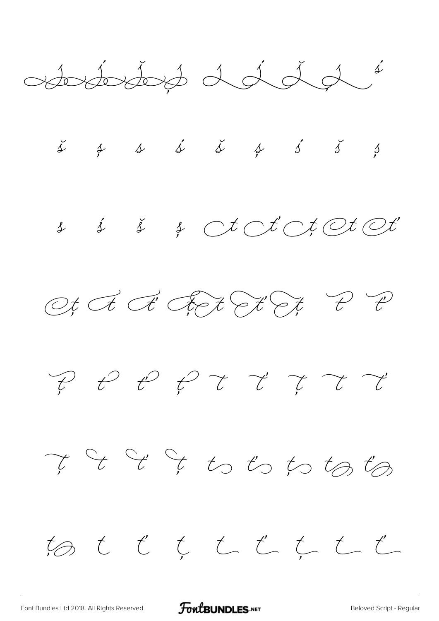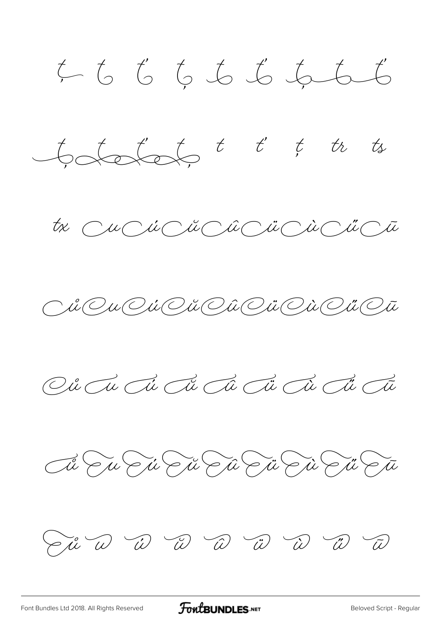$t_{-}$  to to to to to to to t, total, t t t t ts tx CuCúCüCûCüCüCüCū VůOuOùOŭOûOüOùOùOũ Où Tu Tu Tu Tu Tu Tu Tu Tu A SuSuSuSuSuSuSuSuSuS  $\sum \mathcal{L}_{\mu} \mathcal{L}_{\mu} \mathcal{L}_{\mu} \mathcal{L}_{\mu} \mathcal{L}_{\mu} \mathcal{L}_{\mu} \mathcal{L}_{\mu} \mathcal{L}_{\mu} \mathcal{L}_{\mu} \mathcal{L}_{\mu} \mathcal{L}_{\mu} \mathcal{L}_{\mu} \mathcal{L}_{\mu} \mathcal{L}_{\mu} \mathcal{L}_{\mu} \mathcal{L}_{\mu} \mathcal{L}_{\mu} \mathcal{L}_{\mu} \mathcal{L}_{\mu} \mathcal{L}_{\mu} \mathcal{L}_{\mu} \mathcal{L}_{\mu} \mathcal{L}_{\mu} \mathcal{L}_{\mu} \math$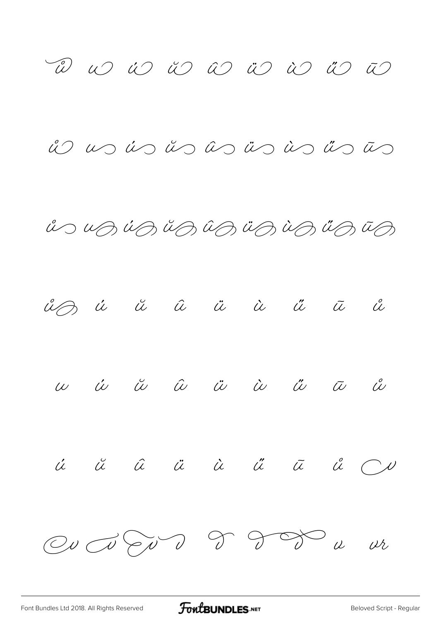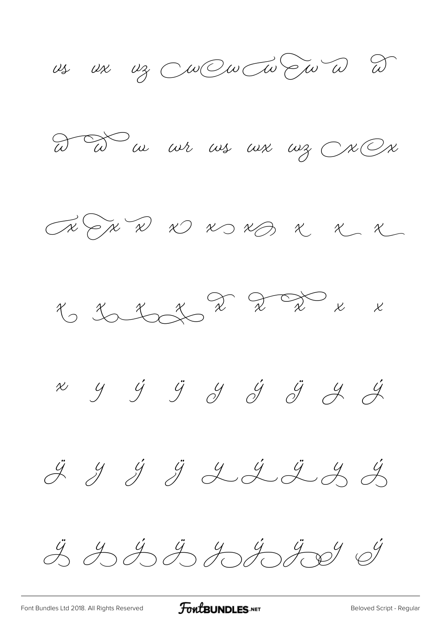$\omega_3$   $\omega_8$   $\omega_9$   $\omega_9$   $\omega_9$   $\omega_9$   $\omega_9$   $\omega_9$ 

 $\omega$   $\infty$   $\omega$   $\omega$   $\omega$   $\omega$   $\omega$   $\omega$   $\infty$   $\infty$ 





x y ý ÿ y ý ÿ y ý

9 9 9 9 9 9 9 9 9 9

 $\ddot{z}$   $\ddot{z}$   $\ddot{z}$   $\ddot{z}$   $\ddot{z}$   $\ddot{z}$   $\ddot{z}$   $\ddot{z}$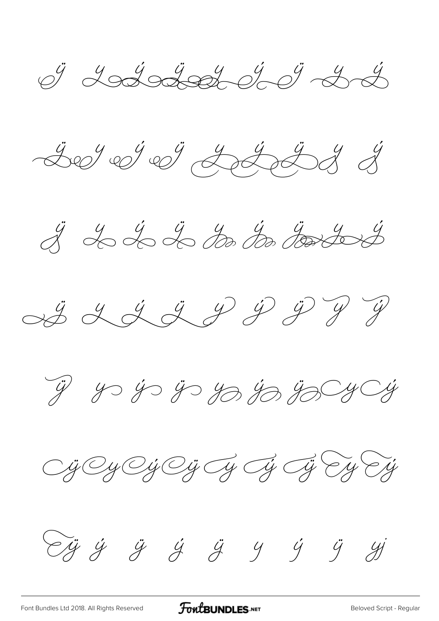$\ddot{\mathcal{G}}$  dododolj d $\ddot{\mathcal{G}}$ 

 $\ddot{\mathcal{A}}\mathcal{O}'\mathcal{O}'\mathcal{O}'\mathcal{A}\mathcal{A}\mathcal{O}'\mathcal{J}$ 

 $\ddot{z}$  to to to to to to

 $\frac{y}{2}$  d d d  $\frac{y}{2}$  y y y

 $\begin{array}{c}\n\mathcal{P} & \mathcal{Y} \supset \mathcal{Y} \supset \mathcal{Y} \supset \mathcal{Y} \supset \mathcal{Y} \supset \mathcal{Y} \supset \mathcal{Y} \supset \mathcal{Y} \supset \mathcal{Y} \supset \mathcal{Y} \end{array}$ 

CÿCyCÿCÿ Gy Gy Cÿ

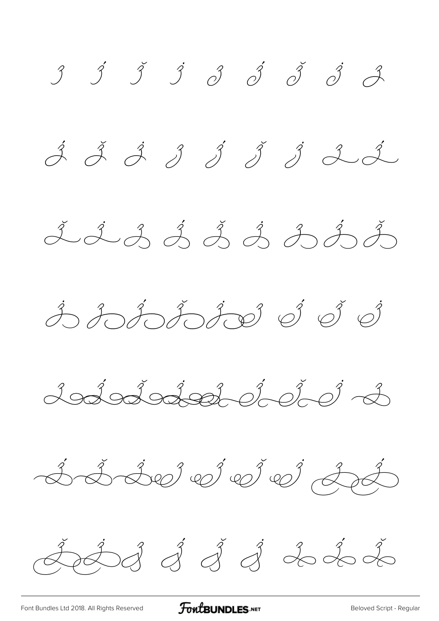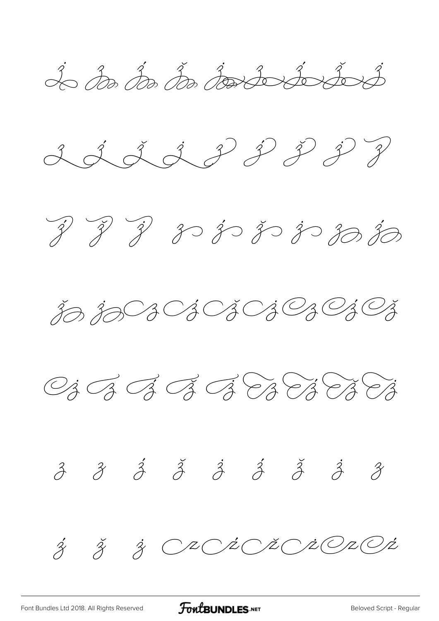20 20 20 20 20 20 20 20









 $3 \t3 \t3 \t3 \t3 \t3 \t3 \t3 \t3$